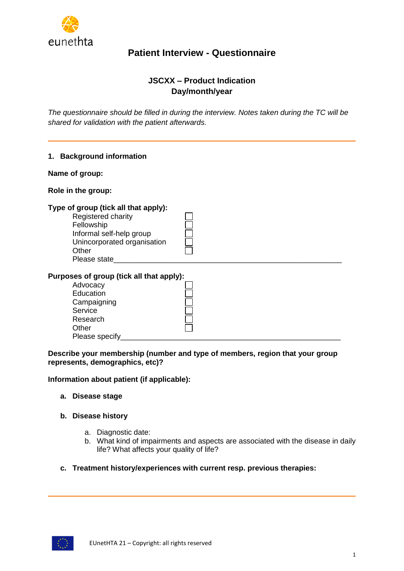

## **JSCXX – Product Indication Day/month/year**

*The questionnaire should be filled in during the interview. Notes taken during the TC will be shared for validation with the patient afterwards.*

|                    | 1. Background information                                                                                                                                        |  |
|--------------------|------------------------------------------------------------------------------------------------------------------------------------------------------------------|--|
| Name of group:     |                                                                                                                                                                  |  |
| Role in the group: |                                                                                                                                                                  |  |
|                    | Type of group (tick all that apply):<br>Registered charity<br>Fellowship<br>Informal self-help group<br>Unincorporated organisation<br>Other<br>Please state____ |  |
|                    | Purposes of group (tick all that apply):<br>Advocacy<br>Education<br>Campaigning<br>Service<br>Research<br>Other<br>Please specify                               |  |

**Describe your membership (number and type of members, region that your group represents, demographics, etc)?** 

**Information about patient (if applicable):**

- **a. Disease stage**
- **b. Disease history**
	- a. Diagnostic date:
	- b. What kind of impairments and aspects are associated with the disease in daily life? What affects your quality of life?
- **c. Treatment history/experiences with current resp. previous therapies:**

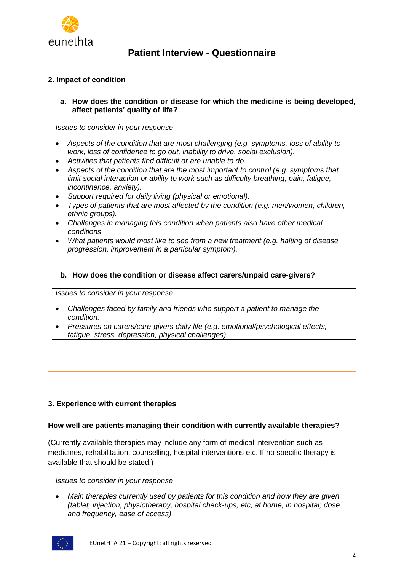

### **2. Impact of condition**

**a. How does the condition or disease for which the medicine is being developed, affect patients' quality of life?**

*Issues to consider in your response*

- *Aspects of the condition that are most challenging (e.g. symptoms, loss of ability to work, loss of confidence to go out, inability to drive, social exclusion).*
- *Activities that patients find difficult or are unable to do.*
- *Aspects of the condition that are the most important to control (e.g. symptoms that limit social interaction or ability to work such as difficulty breathing, pain, fatigue, incontinence, anxiety).*
- *Support required for daily living (physical or emotional).*
- *Types of patients that are most affected by the condition (e.g. men/women, children, ethnic groups).*
- *Challenges in managing this condition when patients also have other medical conditions.*
- *What patients would most like to see from a new treatment (e.g. halting of disease progression, improvement in a particular symptom).*

### **b. How does the condition or disease affect carers/unpaid care-givers?**

*Issues to consider in your response*

- *Challenges faced by family and friends who support a patient to manage the condition.*
- *Pressures on carers/care-givers daily life (e.g. emotional/psychological effects, fatigue, stress, depression, physical challenges).*

### **3. Experience with current therapies**

### **How well are patients managing their condition with currently available therapies?**

(Currently available therapies may include any form of medical intervention such as medicines, rehabilitation, counselling, hospital interventions etc. If no specific therapy is available that should be stated.)

*Issues to consider in your response*

• *Main therapies currently used by patients for this condition and how they are given (tablet, injection, physiotherapy, hospital check-ups, etc, at home, in hospital; dose and frequency, ease of access)*

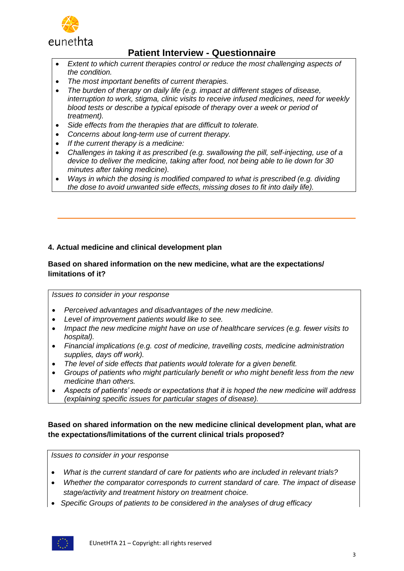

- *Extent to which current therapies control or reduce the most challenging aspects of the condition.*
- *The most important benefits of current therapies.*
- *The burden of therapy on daily life (e.g. impact at different stages of disease, interruption to work, stigma, clinic visits to receive infused medicines, need for weekly blood tests or describe a typical episode of therapy over a week or period of treatment).*
- *Side effects from the therapies that are difficult to tolerate.*
- *Concerns about long-term use of current therapy.*
- *If the current therapy is a medicine:*
- *Challenges in taking it as prescribed (e.g. swallowing the pill, self-injecting, use of a device to deliver the medicine, taking after food, not being able to lie down for 30 minutes after taking medicine).*
- *Ways in which the dosing is modified compared to what is prescribed (e.g. dividing the dose to avoid unwanted side effects, missing doses to fit into daily life).*

## **4. Actual medicine and clinical development plan**

### **Based on shared information on the new medicine, what are the expectations/ limitations of it?**

*Issues to consider in your response*

- *Perceived advantages and disadvantages of the new medicine.*
- *Level of improvement patients would like to see.*
- *Impact the new medicine might have on use of healthcare services (e.g. fewer visits to hospital).*
- *Financial implications (e.g. cost of medicine, travelling costs, medicine administration supplies, days off work).*
- *The level of side effects that patients would tolerate for a given benefit.*
- *Groups of patients who might particularly benefit or who might benefit less from the new medicine than others.*
- *Aspects of patients' needs or expectations that it is hoped the new medicine will address (explaining specific issues for particular stages of disease).*

## **Based on shared information on the new medicine clinical development plan, what are the expectations/limitations of the current clinical trials proposed?**

*Issues to consider in your response*

- *What is the current standard of care for patients who are included in relevant trials?*
- *Whether the comparator corresponds to current standard of care. The impact of disease stage/activity and treatment history on treatment choice.*
- *Specific Groups of patients to be considered in the analyses of drug efficacy*